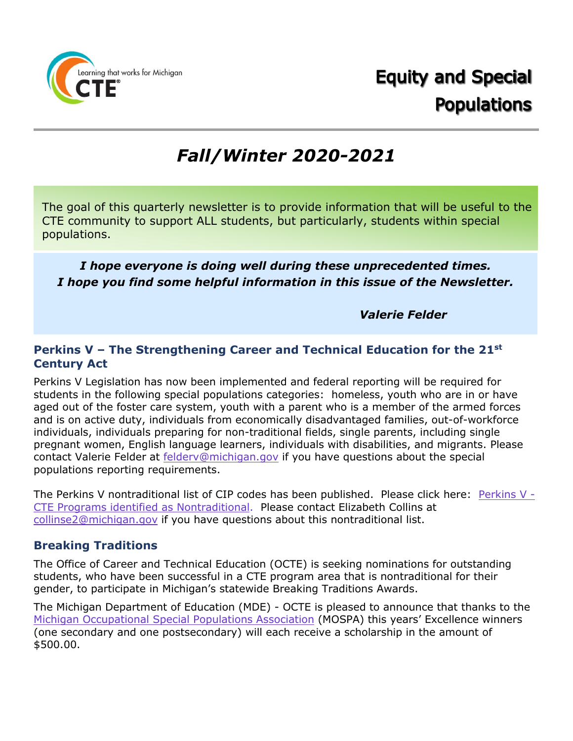

# *Fall/Winter 2020-2021*

The goal of this quarterly newsletter is to provide information that will be useful to the CTE community to support ALL students, but particularly, students within special populations.

# *I hope everyone is doing well during these unprecedented times. I hope you find some helpful information in this issue of the Newsletter.*

*Valerie Felder*

# **Perkins V – The Strengthening Career and Technical Education for the 21st Century Act**

Perkins V Legislation has now been implemented and federal reporting will be required for students in the following special populations categories: homeless, youth who are in or have aged out of the foster care system, youth with a parent who is a member of the armed forces and is on active duty, individuals from economically disadvantaged families, out-of-workforce individuals, individuals preparing for non-traditional fields, single parents, including single pregnant women, English language learners, individuals with disabilities, and migrants. Please contact Valerie Felder at [felderv@michigan.gov](mailto:felderv@michigan.gov) if you have questions about the special populations reporting requirements.

The Perkins V nontraditional list of CIP codes has been published. Please click here: [Perkins V -](https://www.michigan.gov/mde/0,4615,7-140-2629_82356_53969-220887--,00.html) [CTE Programs identified as Nontraditional.](https://www.michigan.gov/mde/0,4615,7-140-2629_82356_53969-220887--,00.html) Please contact Elizabeth Collins at [collinse2@michigan.gov](mailto:collinse2@michigan.gov) if you have questions about this nontraditional list.

# **Breaking Traditions**

The Office of Career and Technical Education (OCTE) is seeking nominations for outstanding students, who have been successful in a CTE program area that is nontraditional for their gender, to participate in Michigan's statewide Breaking Traditions Awards.

The Michigan Department of Education (MDE) - OCTE is pleased to announce that thanks to the [Michigan Occupational Special Populations Association](https://gcc01.safelinks.protection.outlook.com/?url=https%3A%2F%2Flnks.gd%2Fl%2FeyJhbGciOiJIUzI1NiJ9.eyJidWxsZXRpbl9saW5rX2lkIjoxMDIsInVyaSI6ImJwMjpjbGljayIsImJ1bGxldGluX2lkIjoiMjAyMTAxMDQuMzI3NjkxMjEiLCJ1cmwiOiJodHRwczovL2djYzAxLnNhZmVsaW5rcy5wcm90ZWN0aW9uLm91dGxvb2suY29tLz91cmw9aHR0cHMlM0ElMkYlMkZtb3NwYW9ubGluZS5vcmclMkYmZGF0YT0wNCU3QzAxJTdDbWFydGluZXpqOSU0MG1pY2hpZ2FuLmdvdiU3QzUwNDg3ZGMzM2NjYTRkZTQyZGVhMDhkOGIwYmI4ZmRhJTdDZDVmYjcwODczNzc3NDJhZDk2NmE4OTJlZjQ3MjI1ZDElN0MwJTdDMCU3QzYzNzQ1MzY2NzIxMzA0NDU5MyU3Q1Vua25vd24lN0NUV0ZwYkdac2IzZDhleUpXSWpvaU1DNHdMakF3TURBaUxDSlFJam9pVjJsdU16SWlMQ0pCVGlJNklrMWhhV3dpTENKWFZDSTZNbjAlM0QlN0MxMDAwJnNkYXRhPVNnJTJCRlZVZHZWbUwlMkZXVEMyUkNyUSUyRmRoS1RqT1M1WE9PbnA5WVY4R1hHV1ElM0QmcmVzZXJ2ZWQ9MCJ9.2LwUruJLrlqVn5rKkJ4D54_reJTz4gD6zl_MOMlGN5M%2Fs%2F270211648%2Fbr%2F92616515225-l&data=04%7C01%7Cfelderv%40michigan.gov%7C2487e70deff94a4d972d08d8b0cb884b%7Cd5fb7087377742ad966a892ef47225d1%7C0%7C0%7C637453735504331889%7CUnknown%7CTWFpbGZsb3d8eyJWIjoiMC4wLjAwMDAiLCJQIjoiV2luMzIiLCJBTiI6Ik1haWwiLCJXVCI6Mn0%3D%7C2000&sdata=j0lg%2Bmyzr7JgPgJ9rdIRE7JC8RuwzL7IVznXwVHdWyI%3D&reserved=0) (MOSPA) this years' Excellence winners (one secondary and one postsecondary) will each receive a scholarship in the amount of \$500.00.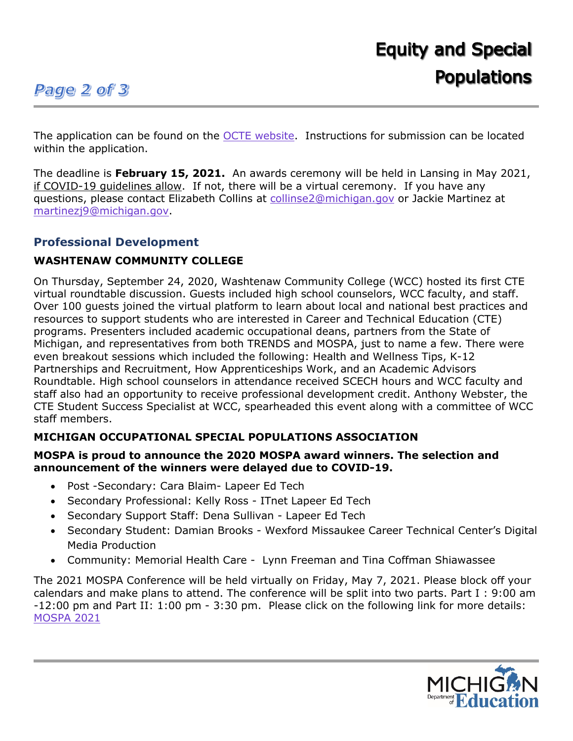# **Page 2 of 3**

The application can be found on the [OCTE website.](https://gcc01.safelinks.protection.outlook.com/?url=https%3A%2F%2Flnks.gd%2Fl%2FeyJhbGciOiJIUzI1NiJ9.eyJidWxsZXRpbl9saW5rX2lkIjoxMDMsInVyaSI6ImJwMjpjbGljayIsImJ1bGxldGluX2lkIjoiMjAyMTAxMDQuMzI3NjkxMjEiLCJ1cmwiOiJodHRwczovL2djYzAxLnNhZmVsaW5rcy5wcm90ZWN0aW9uLm91dGxvb2suY29tLz91cmw9aHR0cHMlM0ElMkYlMkZ3d3cubWljaGlnYW4uZ292JTJGZG9jdW1lbnRzJTJGbWRlJTJGMjAyMV9CVEFfQXBwbGljYXRpb24tQURBXzcwODAzMV83LmRvY3gmZGF0YT0wNCU3QzAxJTdDbWFydGluZXpqOSU0MG1pY2hpZ2FuLmdvdiU3QzUwNDg3ZGMzM2NjYTRkZTQyZGVhMDhkOGIwYmI4ZmRhJTdDZDVmYjcwODczNzc3NDJhZDk2NmE4OTJlZjQ3MjI1ZDElN0MwJTdDMCU3QzYzNzQ1MzY2NzIxMzA0NDU5MyU3Q1Vua25vd24lN0NUV0ZwYkdac2IzZDhleUpXSWpvaU1DNHdMakF3TURBaUxDSlFJam9pVjJsdU16SWlMQ0pCVGlJNklrMWhhV3dpTENKWFZDSTZNbjAlM0QlN0MxMDAwJnNkYXRhPVRqRWo1VDd5dGpZMERuYVl4b0V0NzdPOG51WVFaSFNRJTJGd05TbVJsSjdzUSUzRCZyZXNlcnZlZD0wIn0.UvcpRVpvXC89OnNW4nYjEMPwOmhGq4VdFG1w4yYku04%2Fs%2F270211648%2Fbr%2F92616515225-l&data=04%7C01%7Cfelderv%40michigan.gov%7C2487e70deff94a4d972d08d8b0cb884b%7Cd5fb7087377742ad966a892ef47225d1%7C0%7C0%7C637453735504331889%7CUnknown%7CTWFpbGZsb3d8eyJWIjoiMC4wLjAwMDAiLCJQIjoiV2luMzIiLCJBTiI6Ik1haWwiLCJXVCI6Mn0%3D%7C2000&sdata=Jt1jSW1I6c%2Fq4xXlaXn9OlRZJ9Uuk55z3PeE1aLmuJo%3D&reserved=0) Instructions for submission can be located within the application.

The deadline is **February 15, 2021.** An awards ceremony will be held in Lansing in May 2021, if COVID-19 guidelines allow. If not, there will be a virtual ceremony. If you have any questions, please contact Elizabeth Collins at [collinse2@michigan.gov](mailto:collinse2@michigan.gov) or Jackie Martinez at [martinezj9@michigan.gov.](mailto:martinezj9@michigan.gov)

# **Professional Development**

# **WASHTENAW COMMUNITY COLLEGE**

On Thursday, September 24, 2020, Washtenaw Community College (WCC) hosted its first CTE virtual roundtable discussion. Guests included high school counselors, WCC faculty, and staff. Over 100 guests joined the virtual platform to learn about local and national best practices and resources to support students who are interested in Career and Technical Education (CTE) programs. Presenters included academic occupational deans, partners from the State of Michigan, and representatives from both TRENDS and MOSPA, just to name a few. There were even breakout sessions which included the following: Health and Wellness Tips, K-12 Partnerships and Recruitment, How Apprenticeships Work, and an Academic Advisors Roundtable. High school counselors in attendance received SCECH hours and WCC faculty and staff also had an opportunity to receive professional development credit. Anthony Webster, the CTE Student Success Specialist at WCC, spearheaded this event along with a committee of WCC staff members.

# **MICHIGAN OCCUPATIONAL SPECIAL POPULATIONS ASSOCIATION**

#### **MOSPA is proud to announce the 2020 MOSPA award winners. The selection and announcement of the winners were delayed due to COVID-19.**

- Post -Secondary: Cara Blaim- Lapeer Ed Tech
- Secondary Professional: Kelly Ross ITnet Lapeer Ed Tech
- Secondary Support Staff: Dena Sullivan Lapeer Ed Tech
- Secondary Student: Damian Brooks Wexford Missaukee Career Technical Center's Digital Media Production
- Community: Memorial Health Care Lynn Freeman and Tina Coffman Shiawassee

The 2021 MOSPA Conference will be held virtually on Friday, May 7, 2021. Please block off your calendars and make plans to attend. The conference will be split into two parts. Part I : 9:00 am -12:00 pm and Part II: 1:00 pm - 3:30 pm. Please click on the following link for more details: [MOSPA 2021](https://mospaonline.org/state-conference)